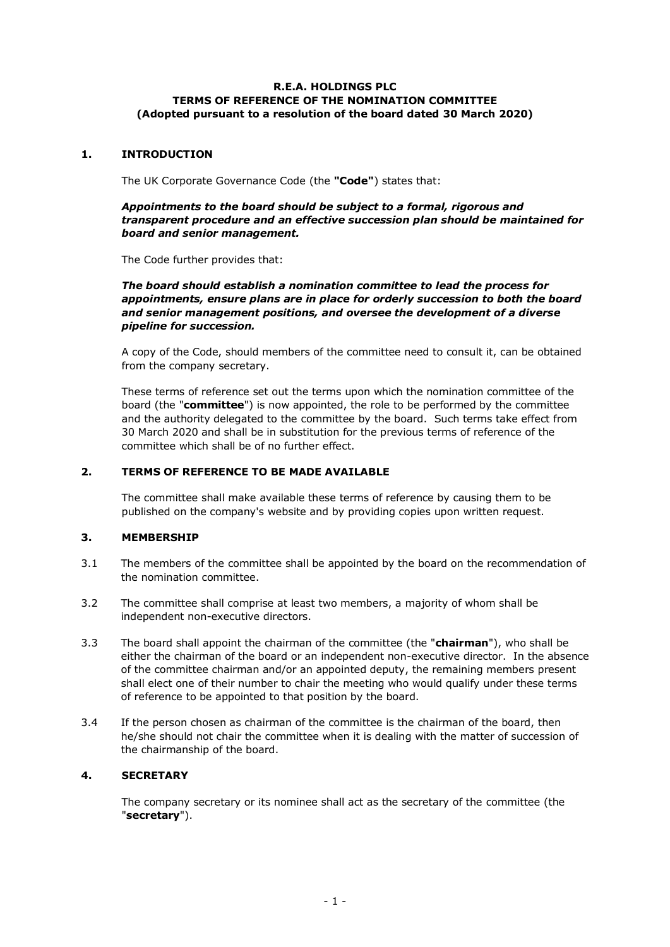#### **R.E.A. HOLDINGS PLC TERMS OF REFERENCE OF THE NOMINATION COMMITTEE (Adopted pursuant to a resolution of the board dated 30 March 2020)**

## **1. INTRODUCTION**

The UK Corporate Governance Code (the **"Code"**) states that:

#### *Appointments to the board should be subject to a formal, rigorous and transparent procedure and an effective succession plan should be maintained for board and senior management.*

The Code further provides that:

*The board should establish a nomination committee to lead the process for appointments, ensure plans are in place for orderly succession to both the board and senior management positions, and oversee the development of a diverse pipeline for succession.*

A copy of the Code, should members of the committee need to consult it, can be obtained from the company secretary.

These terms of reference set out the terms upon which the nomination committee of the board (the "**committee**") is now appointed, the role to be performed by the committee and the authority delegated to the committee by the board. Such terms take effect from 30 March 2020 and shall be in substitution for the previous terms of reference of the committee which shall be of no further effect.

### **2. TERMS OF REFERENCE TO BE MADE AVAILABLE**

The committee shall make available these terms of reference by causing them to be published on the company's website and by providing copies upon written request.

### **3. MEMBERSHIP**

- 3.1 The members of the committee shall be appointed by the board on the recommendation of the nomination committee.
- 3.2 The committee shall comprise at least two members, a majority of whom shall be independent non-executive directors.
- 3.3 The board shall appoint the chairman of the committee (the "**chairman**"), who shall be either the chairman of the board or an independent non-executive director. In the absence of the committee chairman and/or an appointed deputy, the remaining members present shall elect one of their number to chair the meeting who would qualify under these terms of reference to be appointed to that position by the board.
- 3.4 If the person chosen as chairman of the committee is the chairman of the board, then he/she should not chair the committee when it is dealing with the matter of succession of the chairmanship of the board.

### **4. SECRETARY**

The company secretary or its nominee shall act as the secretary of the committee (the "**secretary**").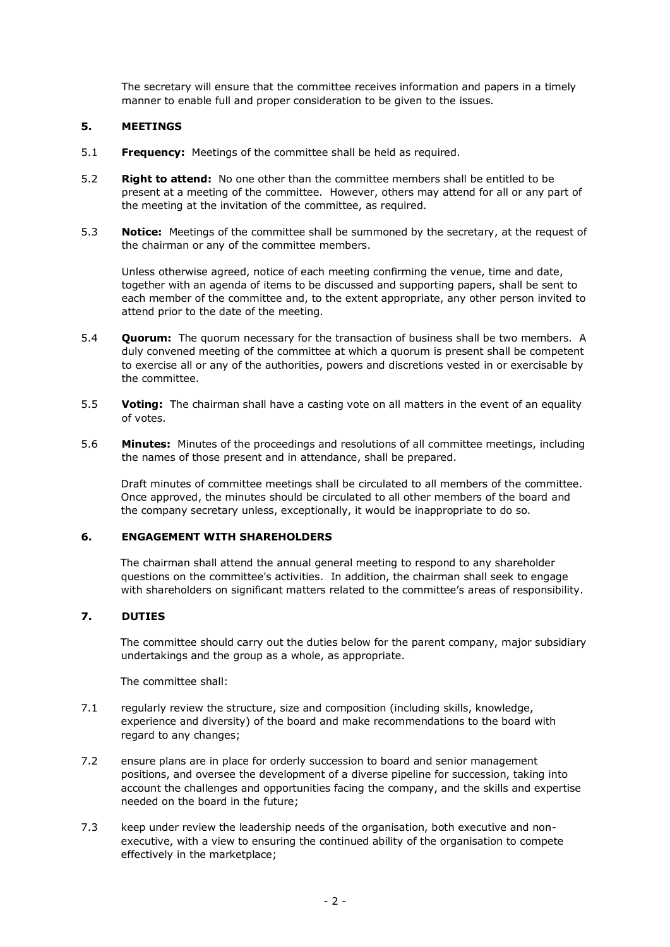The secretary will ensure that the committee receives information and papers in a timely manner to enable full and proper consideration to be given to the issues.

## **5. MEETINGS**

- 5.1 **Frequency:** Meetings of the committee shall be held as required.
- 5.2 **Right to attend:** No one other than the committee members shall be entitled to be present at a meeting of the committee. However, others may attend for all or any part of the meeting at the invitation of the committee, as required.
- 5.3 **Notice:** Meetings of the committee shall be summoned by the secretary, at the request of the chairman or any of the committee members.

Unless otherwise agreed, notice of each meeting confirming the venue, time and date, together with an agenda of items to be discussed and supporting papers, shall be sent to each member of the committee and, to the extent appropriate, any other person invited to attend prior to the date of the meeting.

- 5.4 **Quorum:** The quorum necessary for the transaction of business shall be two members. A duly convened meeting of the committee at which a quorum is present shall be competent to exercise all or any of the authorities, powers and discretions vested in or exercisable by the committee.
- 5.5 **Voting:** The chairman shall have a casting vote on all matters in the event of an equality of votes.
- 5.6 **Minutes:** Minutes of the proceedings and resolutions of all committee meetings, including the names of those present and in attendance, shall be prepared.

Draft minutes of committee meetings shall be circulated to all members of the committee. Once approved, the minutes should be circulated to all other members of the board and the company secretary unless, exceptionally, it would be inappropriate to do so.

### **6. ENGAGEMENT WITH SHAREHOLDERS**

The chairman shall attend the annual general meeting to respond to any shareholder questions on the committee's activities. In addition, the chairman shall seek to engage with shareholders on significant matters related to the committee's areas of responsibility.

### **7. DUTIES**

The committee should carry out the duties below for the parent company, major subsidiary undertakings and the group as a whole, as appropriate.

The committee shall:

- 7.1 regularly review the structure, size and composition (including skills, knowledge, experience and diversity) of the board and make recommendations to the board with regard to any changes;
- 7.2 ensure plans are in place for orderly succession to board and senior management positions, and oversee the development of a diverse pipeline for succession, taking into account the challenges and opportunities facing the company, and the skills and expertise needed on the board in the future;
- 7.3 keep under review the leadership needs of the organisation, both executive and nonexecutive, with a view to ensuring the continued ability of the organisation to compete effectively in the marketplace;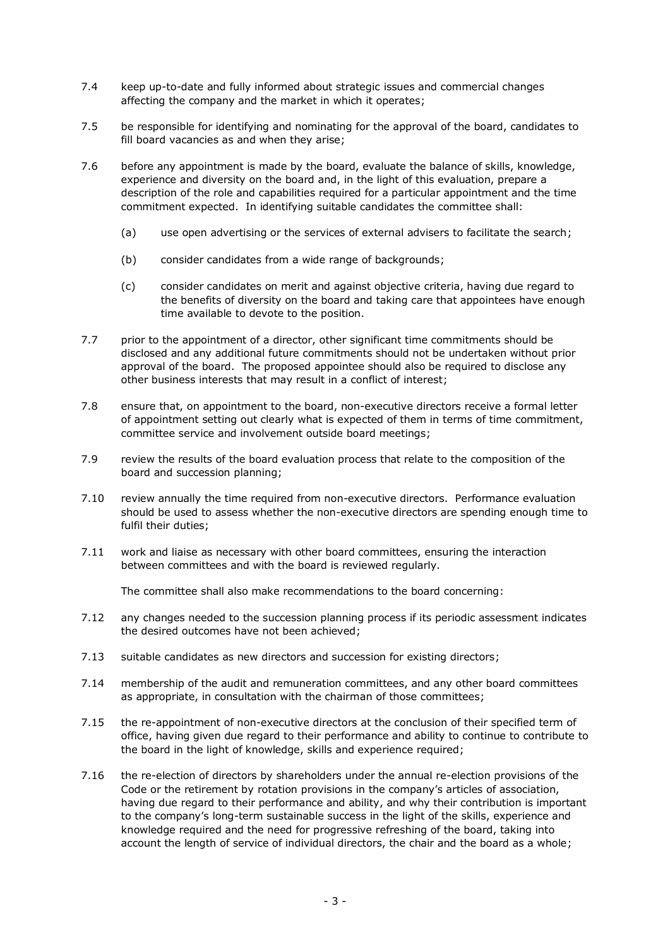- 7.4 keep up-to-date and fully informed about strategic issues and commercial changes affecting the company and the market in which it operates;
- 7.5 be responsible for identifying and nominating for the approval of the board, candidates to fill board vacancies as and when they arise;
- 7.6 before any appointment is made by the board, evaluate the balance of skills, knowledge, experience and diversity on the board and, in the light of this evaluation, prepare a description of the role and capabilities required for a particular appointment and the time commitment expected. In identifying suitable candidates the committee shall:
	- (a) use open advertising or the services of external advisers to facilitate the search;
	- (b) consider candidates from a wide range of backgrounds;
	- (c) consider candidates on merit and against objective criteria, having due regard to the benefits of diversity on the board and taking care that appointees have enough time available to devote to the position.
- 7.7 prior to the appointment of a director, other significant time commitments should be disclosed and any additional future commitments should not be undertaken without prior approval of the board. The proposed appointee should also be required to disclose any other business interests that may result in a conflict of interest;
- 7.8 ensure that, on appointment to the board, non-executive directors receive a formal letter of appointment setting out clearly what is expected of them in terms of time commitment, committee service and involvement outside board meetings;
- 7.9 review the results of the board evaluation process that relate to the composition of the board and succession planning;
- 7.10 review annually the time required from non-executive directors. Performance evaluation should be used to assess whether the non-executive directors are spending enough time to fulfil their duties;
- 7.11 work and liaise as necessary with other board committees, ensuring the interaction between committees and with the board is reviewed regularly.

The committee shall also make recommendations to the board concerning:

- 7.12 any changes needed to the succession planning process if its periodic assessment indicates the desired outcomes have not been achieved;
- 7.13 suitable candidates as new directors and succession for existing directors;
- 7.14 membership of the audit and remuneration committees, and any other board committees as appropriate, in consultation with the chairman of those committees;
- 7.15 the re-appointment of non-executive directors at the conclusion of their specified term of office, having given due regard to their performance and ability to continue to contribute to the board in the light of knowledge, skills and experience required;
- 7.16 the re-election of directors by shareholders under the annual re-election provisions of the Code or the retirement by rotation provisions in the company's articles of association, having due regard to their performance and ability, and why their contribution is important to the company's long-term sustainable success in the light of the skills, experience and knowledge required and the need for progressive refreshing of the board, taking into account the length of service of individual directors, the chair and the board as a whole;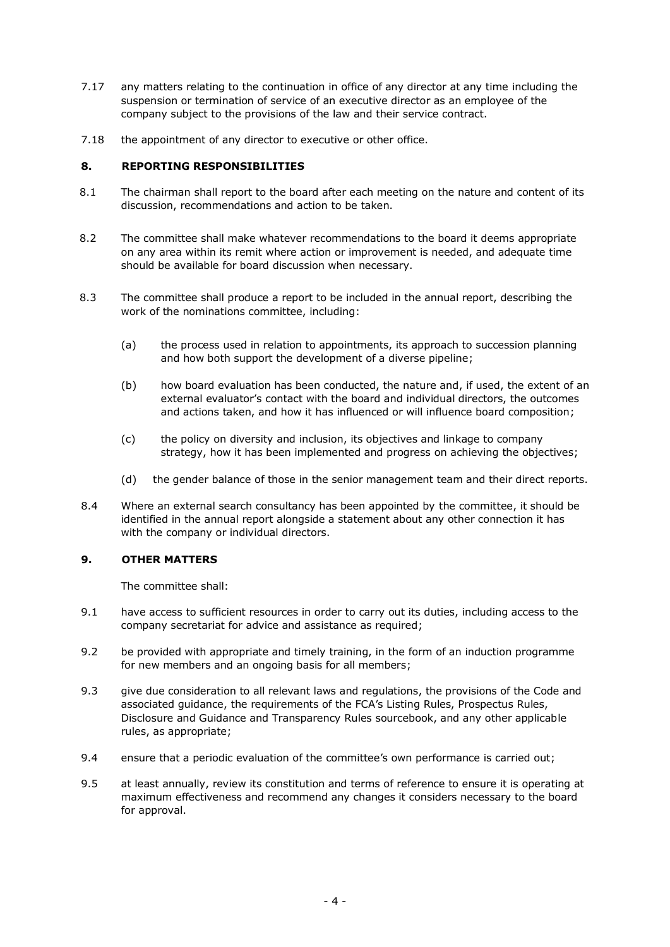- 7.17 any matters relating to the continuation in office of any director at any time including the suspension or termination of service of an executive director as an employee of the company subject to the provisions of the law and their service contract.
- 7.18 the appointment of any director to executive or other office.

### **8. REPORTING RESPONSIBILITIES**

- 8.1 The chairman shall report to the board after each meeting on the nature and content of its discussion, recommendations and action to be taken.
- 8.2 The committee shall make whatever recommendations to the board it deems appropriate on any area within its remit where action or improvement is needed, and adequate time should be available for board discussion when necessary.
- 8.3 The committee shall produce a report to be included in the annual report, describing the work of the nominations committee, including:
	- (a) the process used in relation to appointments, its approach to succession planning and how both support the development of a diverse pipeline;
	- (b) how board evaluation has been conducted, the nature and, if used, the extent of an external evaluator's contact with the board and individual directors, the outcomes and actions taken, and how it has influenced or will influence board composition;
	- (c) the policy on diversity and inclusion, its objectives and linkage to company strategy, how it has been implemented and progress on achieving the objectives;
	- (d) the gender balance of those in the senior management team and their direct reports.
- 8.4 Where an external search consultancy has been appointed by the committee, it should be identified in the annual report alongside a statement about any other connection it has with the company or individual directors.

## **9. OTHER MATTERS**

The committee shall:

- 9.1 have access to sufficient resources in order to carry out its duties, including access to the company secretariat for advice and assistance as required;
- 9.2 be provided with appropriate and timely training, in the form of an induction programme for new members and an ongoing basis for all members;
- 9.3 give due consideration to all relevant laws and regulations, the provisions of the Code and associated guidance, the requirements of the FCA's Listing Rules, Prospectus Rules, Disclosure and Guidance and Transparency Rules sourcebook, and any other applicable rules, as appropriate;
- 9.4 ensure that a periodic evaluation of the committee's own performance is carried out;
- 9.5 at least annually, review its constitution and terms of reference to ensure it is operating at maximum effectiveness and recommend any changes it considers necessary to the board for approval.